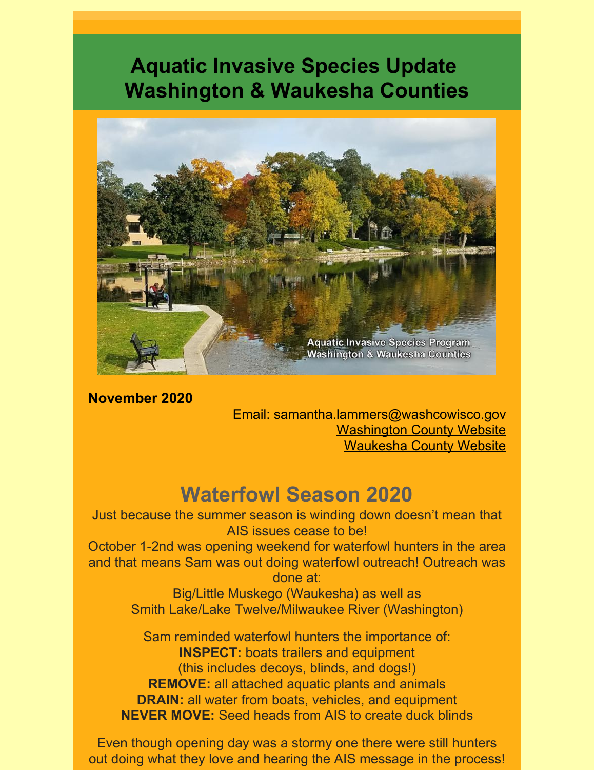# **Aquatic Invasive Species Update Washington & Waukesha Counties**



**November 2020**

Email: samantha.lammers@washcowisco.gov **[Washington](https://www.co.washington.wi.us/departments.iml?mdl=departments.mdl&ID=LCD) County Website** [Waukesha](https://www.waukeshacounty.gov/ais/) County Website

# **Waterfowl Season 2020**

Just because the summer season is winding down doesn't mean that AIS issues cease to be!

October 1-2nd was opening weekend for waterfowl hunters in the area and that means Sam was out doing waterfowl outreach! Outreach was done at:

Big/Little Muskego (Waukesha) as well as Smith Lake/Lake Twelve/Milwaukee River (Washington)

Sam reminded waterfowl hunters the importance of: **INSPECT:** boats trailers and equipment (this includes decoys, blinds, and dogs!) **REMOVE:** all attached aquatic plants and animals **DRAIN:** all water from boats, vehicles, and equipment **NEVER MOVE:** Seed heads from AIS to create duck blinds

Even though opening day was a stormy one there were still hunters out doing what they love and hearing the AIS message in the process!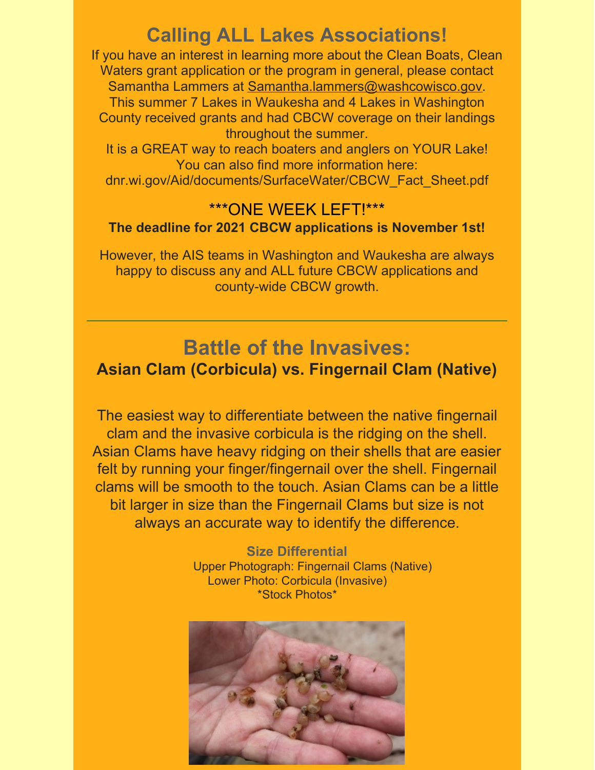## **Calling ALL Lakes Associations!**

If you have an interest in learning more about the Clean Boats, Clean Waters grant application or the program in general, please contact Samantha Lammers at [Samantha.lammers@washcowisco.gov](mailto:Samantha.lammers@washcowisco.gov). This summer 7 Lakes in Waukesha and 4 Lakes in Washington County received grants and had CBCW coverage on their landings throughout the summer.

It is a GREAT way to reach boaters and anglers on YOUR Lake! You can also find more information here:

dnr.wi.gov/Aid/documents/SurfaceWater/CBCW\_Fact\_Sheet.pdf

### \*\*\*ONE WEEK LEFT!\*\*\* **The deadline for 2021 CBCW applications is November 1st!**

However, the AIS teams in Washington and Waukesha are always happy to discuss any and ALL future CBCW applications and county-wide CBCW growth.

## **Battle of the Invasives: Asian Clam (Corbicula) vs. Fingernail Clam (Native)**

The easiest way to differentiate between the native fingernail clam and the invasive corbicula is the ridging on the shell. Asian Clams have heavy ridging on their shells that are easier felt by running your finger/fingernail over the shell. Fingernail clams will be smooth to the touch. Asian Clams can be a little bit larger in size than the Fingernail Clams but size is not always an accurate way to identify the difference.

> **Size Differential** Upper Photograph: Fingernail Clams (Native) Lower Photo: Corbicula (Invasive) \*Stock Photos\*

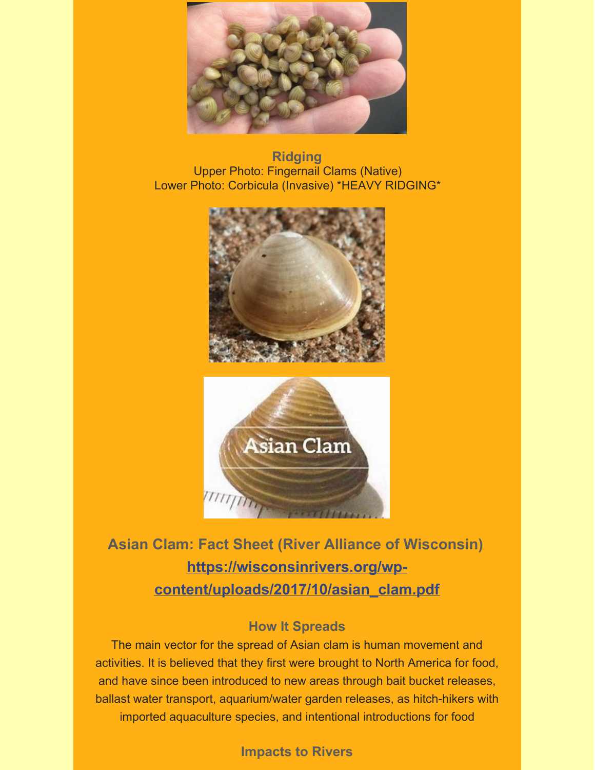

**Ridging** Upper Photo: Fingernail Clams (Native) Lower Photo: Corbicula (Invasive) \*HEAVY RIDGING\*





**Asian Clam: Fact Sheet (River Alliance of Wisconsin) https://wisconsinrivers.org/wp[content/uploads/2017/10/asian\\_clam.pdf](https://wisconsinrivers.org/wp-content/uploads/2017/10/asian_clam.pdf)**

#### **How It Spreads**

The main vector for the spread of Asian clam is human movement and activities. It is believed that they first were brought to North America for food, and have since been introduced to new areas through bait bucket releases, ballast water transport, aquarium/water garden releases, as hitch-hikers with imported aquaculture species, and intentional introductions for food

**Impacts to Rivers**